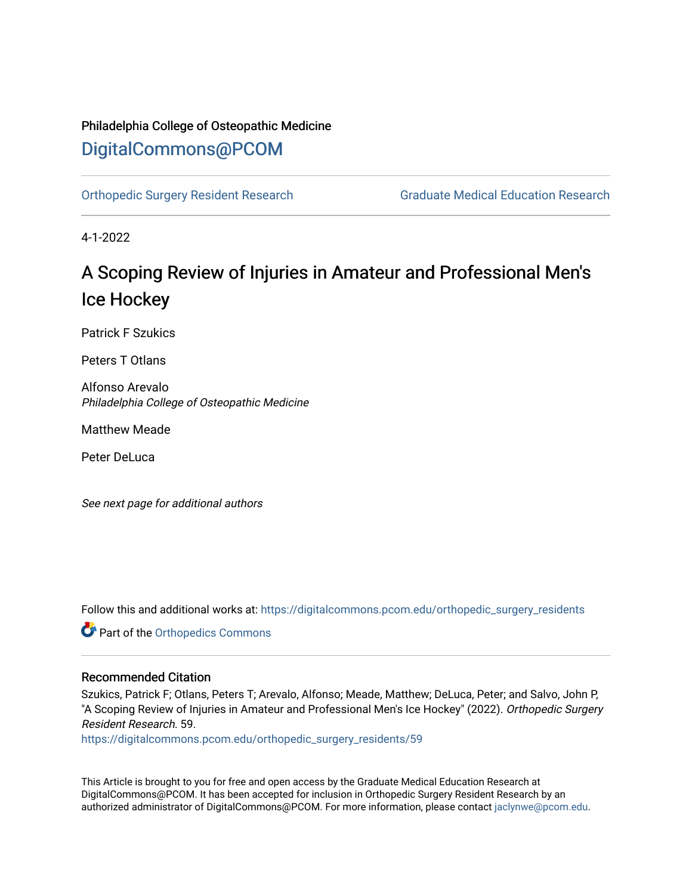### Philadelphia College of Osteopathic Medicine [DigitalCommons@PCOM](https://digitalcommons.pcom.edu/)

[Orthopedic Surgery Resident Research](https://digitalcommons.pcom.edu/orthopedic_surgery_residents) [Graduate Medical Education Research](https://digitalcommons.pcom.edu/graduate_medical_education_research) 

4-1-2022

## A Scoping Review of Injuries in Amateur and Professional Men's Ice Hockey

Patrick F Szukics

Peters T Otlans

Alfonso Arevalo Philadelphia College of Osteopathic Medicine

Matthew Meade

Peter DeLuca

See next page for additional authors

Follow this and additional works at: [https://digitalcommons.pcom.edu/orthopedic\\_surgery\\_residents](https://digitalcommons.pcom.edu/orthopedic_surgery_residents?utm_source=digitalcommons.pcom.edu%2Forthopedic_surgery_residents%2F59&utm_medium=PDF&utm_campaign=PDFCoverPages) 

Part of the [Orthopedics Commons](https://network.bepress.com/hgg/discipline/696?utm_source=digitalcommons.pcom.edu%2Forthopedic_surgery_residents%2F59&utm_medium=PDF&utm_campaign=PDFCoverPages)

#### Recommended Citation

Szukics, Patrick F; Otlans, Peters T; Arevalo, Alfonso; Meade, Matthew; DeLuca, Peter; and Salvo, John P, "A Scoping Review of Injuries in Amateur and Professional Men's Ice Hockey" (2022). Orthopedic Surgery Resident Research. 59.

[https://digitalcommons.pcom.edu/orthopedic\\_surgery\\_residents/59](https://digitalcommons.pcom.edu/orthopedic_surgery_residents/59?utm_source=digitalcommons.pcom.edu%2Forthopedic_surgery_residents%2F59&utm_medium=PDF&utm_campaign=PDFCoverPages)

This Article is brought to you for free and open access by the Graduate Medical Education Research at DigitalCommons@PCOM. It has been accepted for inclusion in Orthopedic Surgery Resident Research by an authorized administrator of DigitalCommons@PCOM. For more information, please contact [jaclynwe@pcom.edu](mailto:jaclynwe@pcom.edu).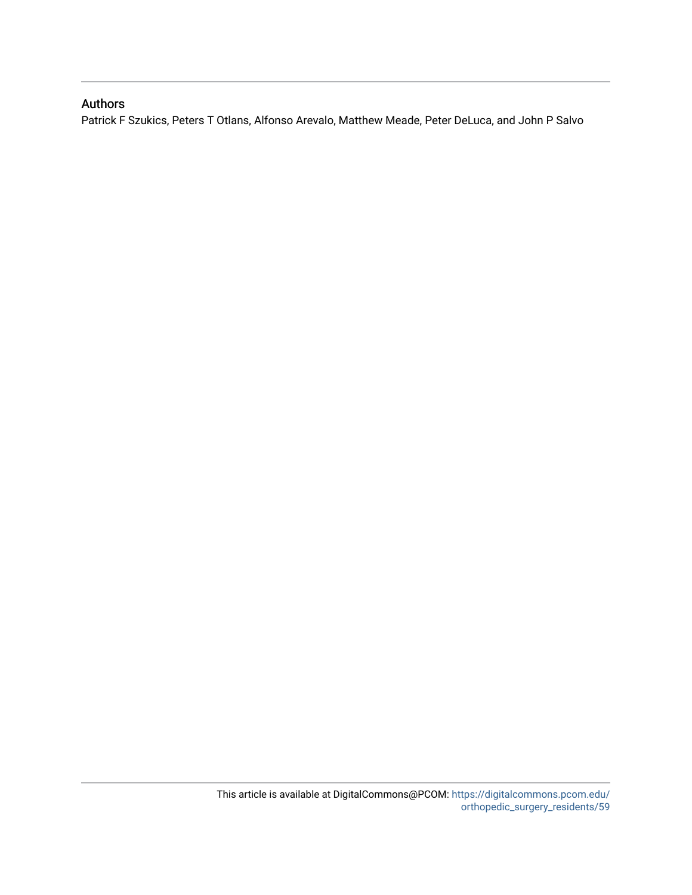#### Authors

Patrick F Szukics, Peters T Otlans, Alfonso Arevalo, Matthew Meade, Peter DeLuca, and John P Salvo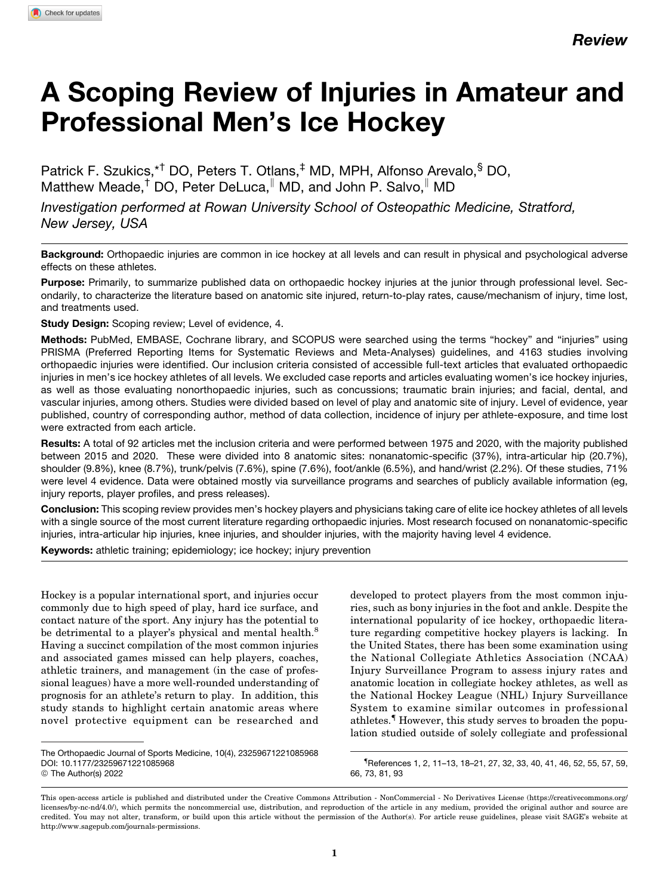# A Scoping Review of Injuries in Amateur and Professional Men's Ice Hockey

Patrick F. Szukics,\*<sup>†</sup> DO, Peters T. Otlans,<sup>‡</sup> MD, MPH, Alfonso Arevalo,<sup>§</sup> DO, Matthew Meade,<sup>†</sup> DO, Peter DeLuca,<sup>||</sup> MD, and John P. Salvo,<sup>||</sup> MD

Investigation performed at Rowan University School of Osteopathic Medicine, Stratford, New Jersey, USA

Background: Orthopaedic injuries are common in ice hockey at all levels and can result in physical and psychological adverse effects on these athletes.

Purpose: Primarily, to summarize published data on orthopaedic hockey injuries at the junior through professional level. Secondarily, to characterize the literature based on anatomic site injured, return-to-play rates, cause/mechanism of injury, time lost, and treatments used.

Study Design: Scoping review; Level of evidence, 4.

Methods: PubMed, EMBASE, Cochrane library, and SCOPUS were searched using the terms "hockey" and "injuries" using PRISMA (Preferred Reporting Items for Systematic Reviews and Meta-Analyses) guidelines, and 4163 studies involving orthopaedic injuries were identified. Our inclusion criteria consisted of accessible full-text articles that evaluated orthopaedic injuries in men's ice hockey athletes of all levels. We excluded case reports and articles evaluating women's ice hockey injuries, as well as those evaluating nonorthopaedic injuries, such as concussions; traumatic brain injuries; and facial, dental, and vascular injuries, among others. Studies were divided based on level of play and anatomic site of injury. Level of evidence, year published, country of corresponding author, method of data collection, incidence of injury per athlete-exposure, and time lost were extracted from each article.

Results: A total of 92 articles met the inclusion criteria and were performed between 1975 and 2020, with the majority published between 2015 and 2020. These were divided into 8 anatomic sites: nonanatomic-specific (37%), intra-articular hip (20.7%), shoulder (9.8%), knee (8.7%), trunk/pelvis (7.6%), spine (7.6%), foot/ankle (6.5%), and hand/wrist (2.2%). Of these studies, 71% were level 4 evidence. Data were obtained mostly via surveillance programs and searches of publicly available information (eg, injury reports, player profiles, and press releases).

Conclusion: This scoping review provides men's hockey players and physicians taking care of elite ice hockey athletes of all levels with a single source of the most current literature regarding orthopaedic injuries. Most research focused on nonanatomic-specific injuries, intra-articular hip injuries, knee injuries, and shoulder injuries, with the majority having level 4 evidence.

Keywords: athletic training; epidemiology; ice hockey; injury prevention

Hockey is a popular international sport, and injuries occur commonly due to high speed of play, hard ice surface, and contact nature of the sport. Any injury has the potential to be detrimental to a player's physical and mental health.<sup>[8](#page-11-0)</sup> Having a succinct compilation of the most common injuries and associated games missed can help players, coaches, athletic trainers, and management (in the case of professional leagues) have a more well-rounded understanding of prognosis for an athlete's return to play. In addition, this study stands to highlight certain anatomic areas where novel protective equipment can be researched and

developed to protect players from the most common injuries, such as bony injuries in the foot and ankle. Despite the international popularity of ice hockey, orthopaedic literature regarding competitive hockey players is lacking. In the United States, there has been some examination using the National Collegiate Athletics Association (NCAA) Injury Surveillance Program to assess injury rates and anatomic location in collegiate hockey athletes, as well as the National Hockey League (NHL) Injury Surveillance System to examine similar outcomes in professional athletes.{ However, this study serves to broaden the population studied outside of solely collegiate and professional

{ References [1, 2](#page-11-0), [11–13, 18–21, 27](#page-11-0), [32, 33](#page-11-0), [40, 41,](#page-11-0) [46](#page-12-0), [52, 55](#page-12-0), [57, 59](#page-12-0), [66, 73](#page-12-0), [81,](#page-12-0) [93](#page-13-0)

The Orthopaedic Journal of Sports Medicine, 10(4), 23259671221085968 [DOI: 10.1177/23259671221085968](https://doi.org/10.1177/23259671221085968) © The Author(s) 2022

This open-access article is published and distributed under the Creative Commons Attribution - NonCommercial - No Derivatives License [\(https://creativecommons.org/](https://creativecommons.org/licenses/by-nc-nd/4.0/) [licenses/by-nc-nd/4.0/\)](https://creativecommons.org/licenses/by-nc-nd/4.0/), which permits the noncommercial use, distribution, and reproduction of the article in any medium, provided the original author and source are credited. You may not alter, transform, or build upon this article without the permission of the Author(s). For article reuse guidelines, please visit SAGE's website at http://www.sagepub.com/journals-permissions.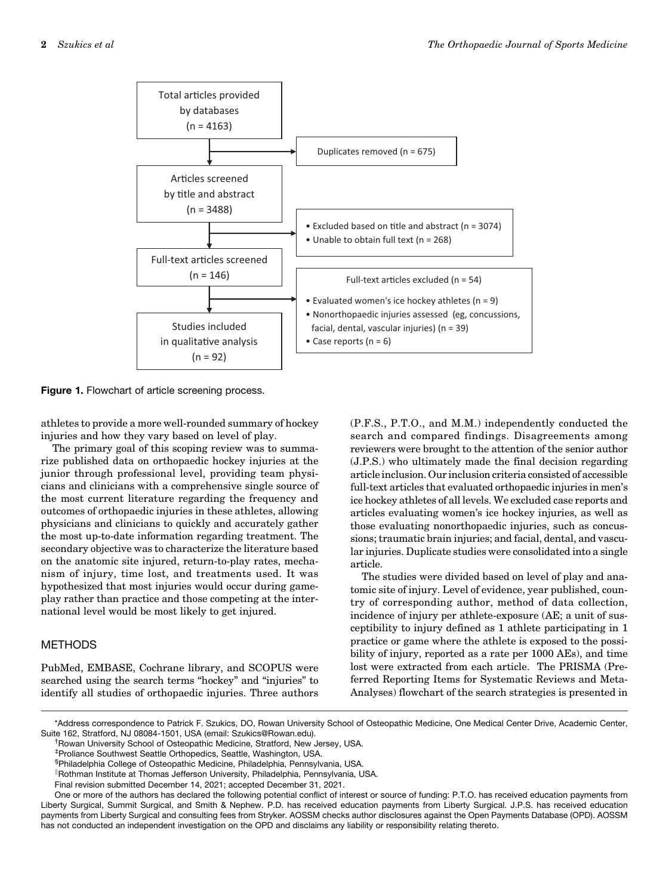<span id="page-3-0"></span>

Figure 1. Flowchart of article screening process.

athletes to provide a more well-rounded summary of hockey injuries and how they vary based on level of play.

The primary goal of this scoping review was to summarize published data on orthopaedic hockey injuries at the junior through professional level, providing team physicians and clinicians with a comprehensive single source of the most current literature regarding the frequency and outcomes of orthopaedic injuries in these athletes, allowing physicians and clinicians to quickly and accurately gather the most up-to-date information regarding treatment. The secondary objective was to characterize the literature based on the anatomic site injured, return-to-play rates, mechanism of injury, time lost, and treatments used. It was hypothesized that most injuries would occur during gameplay rather than practice and those competing at the international level would be most likely to get injured.

#### **METHODS**

PubMed, EMBASE, Cochrane library, and SCOPUS were searched using the search terms "hockey" and "injuries" to identify all studies of orthopaedic injuries. Three authors (P.F.S., P.T.O., and M.M.) independently conducted the search and compared findings. Disagreements among reviewers were brought to the attention of the senior author (J.P.S.) who ultimately made the final decision regarding article inclusion. Our inclusion criteria consisted of accessible full-text articles that evaluated orthopaedic injuries in men's ice hockey athletes of all levels. We excluded case reports and articles evaluating women's ice hockey injuries, as well as those evaluating nonorthopaedic injuries, such as concussions; traumatic brain injuries; and facial, dental, and vascular injuries. Duplicate studies were consolidated into a single article.

The studies were divided based on level of play and anatomic site of injury. Level of evidence, year published, country of corresponding author, method of data collection, incidence of injury per athlete-exposure (AE; a unit of susceptibility to injury defined as 1 athlete participating in 1 practice or game where the athlete is exposed to the possibility of injury, reported as a rate per 1000 AEs), and time lost were extracted from each article. The PRISMA (Preferred Reporting Items for Systematic Reviews and Meta-Analyses) flowchart of the search strategies is presented in

\*Address correspondence to Patrick F. Szukics, DO, Rowan University School of Osteopathic Medicine, One Medical Center Drive, Academic Center, Suite 162, Stratford, NJ 08084-1501, USA (email: [Szukics@Rowan.edu\)](mailto:Szukics@Rowan.edu). †

<sup>&</sup>lt;sup>†</sup> Rowan University School of Osteopathic Medicine, Stratford, New Jersey, USA.

<sup>‡</sup> Proliance Southwest Seattle Orthopedics, Seattle, Washington, USA.

<sup>§</sup> Philadelphia College of Osteopathic Medicine, Philadelphia, Pennsylvania, USA.

Rothman Institute at Thomas Jefferson University, Philadelphia, Pennsylvania, USA.

Final revision submitted December 14, 2021; accepted December 31, 2021.

One or more of the authors has declared the following potential conflict of interest or source of funding: P.T.O. has received education payments from Liberty Surgical, Summit Surgical, and Smith & Nephew. P.D. has received education payments from Liberty Surgical. J.P.S. has received education payments from Liberty Surgical and consulting fees from Stryker. AOSSM checks author disclosures against the Open Payments Database (OPD). AOSSM has not conducted an independent investigation on the OPD and disclaims any liability or responsibility relating thereto.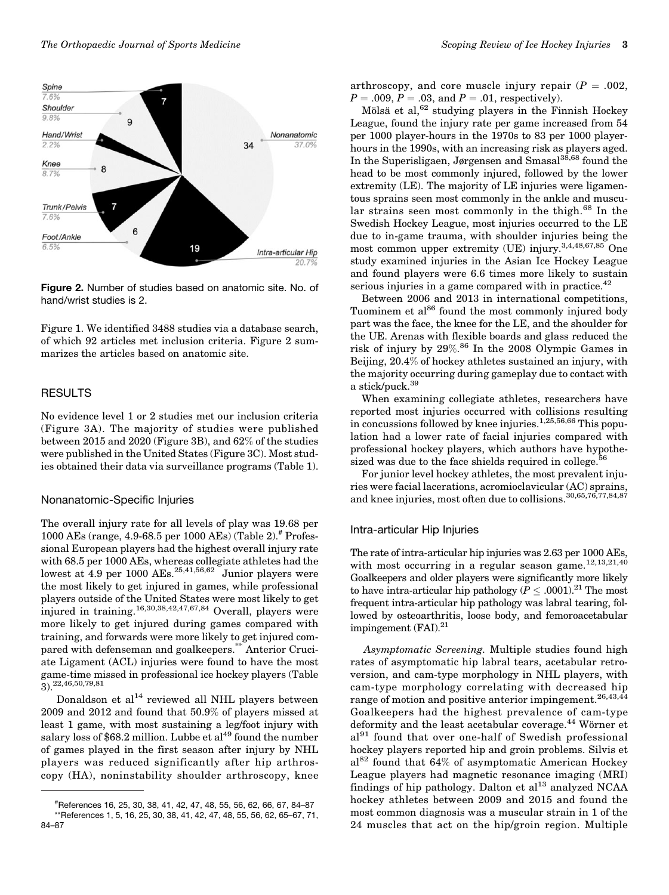

Figure 2. Number of studies based on anatomic site. No. of hand/wrist studies is 2.

[Figure 1.](#page-3-0) We identified 3488 studies via a database search, of which 92 articles met inclusion criteria. Figure 2 summarizes the articles based on anatomic site.

#### RESULTS

No evidence level 1 or 2 studies met our inclusion criteria ([Figure 3A\)](#page-5-0). The majority of studies were published between 2015 and 2020 [\(Figure 3B\)](#page-5-0), and 62% of the studies were published in the United States ([Figure 3C\)](#page-5-0). Most studies obtained their data via surveillance programs ([Table 1](#page-5-0)).

#### Nonanatomic-Specific Injuries

The overall injury rate for all levels of play was 19.68 per 1000 AEs (range, 4.9-68.5 per 1000 AEs) [\(Table 2\)](#page-6-0).# Professional European players had the highest overall injury rate with 68.5 per 1000 AEs, whereas collegiate athletes had the lowest at  $4.9$  per  $1000$  AEs.<sup>[25,41](#page-11-0)[,56,62](#page-12-0)</sup> Junior players were the most likely to get injured in games, while professional players outside of the United States were most likely to get injured in training.<sup>[16,30,38](#page-11-0)[,42,47](#page-12-0),[67,](#page-12-0)[84](#page-13-0)</sup> Overall, players were more likely to get injured during games compared with training, and forwards were more likely to get injured compared with defenseman and goalkeepers.\*\* Anterior Cruciate Ligament (ACL) injuries were found to have the most game-time missed in professional ice hockey players (Table  $(3)$ <sub>22,[46](#page-12-0)</sub>,[50,79,81](#page-12-0)

Donaldson et  $al<sup>14</sup>$  $al<sup>14</sup>$  $al<sup>14</sup>$  reviewed all NHL players between 2009 and 2012 and found that 50.9% of players missed at least 1 game, with most sustaining a leg/foot injury with salary loss of \$68.2 million. Lubbe et  $al^{49}$  $al^{49}$  $al^{49}$  found the number of games played in the first season after injury by NHL players was reduced significantly after hip arthroscopy (HA), noninstability shoulder arthroscopy, knee arthroscopy, and core muscle injury repair  $(P = .002, )$  $P = .009, P = .03, \text{ and } P = .01, \text{ respectively.}$ 

Mölsä et al,<sup>[62](#page-12-0)</sup> studying players in the Finnish Hockey League, found the injury rate per game increased from 54 per 1000 player-hours in the 1970s to 83 per 1000 playerhours in the 1990s, with an increasing risk as players aged. In the Superisligaen, Jørgensen and Smasal<sup>38[,68](#page-12-0)</sup> found the head to be most commonly injured, followed by the lower extremity (LE). The majority of LE injuries were ligamentous sprains seen most commonly in the ankle and muscu-lar strains seen most commonly in the thigh.<sup>[68](#page-12-0)</sup> In the Swedish Hockey League, most injuries occurred to the LE due to in-game trauma, with shoulder injuries being the most common upper extremity (UE) injury.[3,4](#page-11-0)[,48,67](#page-12-0)[,85](#page-13-0) One study examined injuries in the Asian Ice Hockey League and found players were 6.6 times more likely to sustain serious injuries in a game compared with in practice.<sup>[42](#page-12-0)</sup>

Between 2006 and 2013 in international competitions, Tuominem et al<sup>[86](#page-13-0)</sup> found the most commonly injured body part was the face, the knee for the LE, and the shoulder for the UE. Arenas with flexible boards and glass reduced the risk of injury by 29%. [86](#page-13-0) In the 2008 Olympic Games in Beijing, 20.4% of hockey athletes sustained an injury, with the majority occurring during gameplay due to contact with a stick/puck.[39](#page-11-0)

When examining collegiate athletes, researchers have reported most injuries occurred with collisions resulting in concussions followed by knee injuries.<sup>[1,25,](#page-11-0)[56](#page-12-0),[66](#page-12-0)</sup> This population had a lower rate of facial injuries compared with professional hockey players, which authors have hypothesized was due to the face shields required in college. $5$ 

For junior level hockey athletes, the most prevalent injuries were facial lacerations, acromioclavicular (AC) sprains, and knee injuries, most often due to collisions.<sup>[30](#page-11-0)[,65,76,77](#page-12-0)[,84,87](#page-13-0)</sup>

#### Intra-articular Hip Injuries

The rate of intra-articular hip injuries was 2.63 per 1000 AEs, with most occurring in a regular season game.<sup>[12,13,21,40](#page-11-0)</sup> Goalkeepers and older players were significantly more likely to have intra-articular hip pathology ( $P \leq .0001$ ).<sup>21</sup> The most frequent intra-articular hip pathology was labral tearing, followed by osteoarthritis, loose body, and femoroacetabular impingement  $(FAI).^{21}$ 

Asymptomatic Screening. Multiple studies found high rates of asymptomatic hip labral tears, acetabular retroversion, and cam-type morphology in NHL players, with cam-type morphology correlating with decreased hip range of motion and positive anterior impingement.<sup>[26](#page-11-0),[43,44](#page-12-0)</sup> Goalkeepers had the highest prevalence of cam-type deformity and the least acetabular coverage.<sup>[44](#page-12-0)</sup> Wörner et  $al<sup>91</sup>$  $al<sup>91</sup>$  $al<sup>91</sup>$  found that over one-half of Swedish professional hockey players reported hip and groin problems. Silvis et  $al^{82}$  $al^{82}$  $al^{82}$  found that  $64\%$  of asymptomatic American Hockey League players had magnetic resonance imaging (MRI) findings of hip pathology. Dalton et  $al<sup>13</sup>$  $al<sup>13</sup>$  $al<sup>13</sup>$  analyzed NCAA hockey athletes between 2009 and 2015 and found the most common diagnosis was a muscular strain in 1 of the 24 muscles that act on the hip/groin region. Multiple

<sup>#</sup> References [16](#page-11-0), [25, 30](#page-11-0), [38](#page-11-0), [41,](#page-11-0) [42](#page-12-0), [47, 48](#page-12-0), [55](#page-12-0), [56, 62](#page-12-0), [66, 67](#page-12-0), [84–87](#page-13-0) \*\*References [1](#page-11-0), [5](#page-11-0), [16](#page-11-0), [25, 30, 38](#page-11-0), [41](#page-11-0), [42, 47, 48](#page-12-0), [55](#page-12-0), [56, 62, 65–67](#page-12-0), [71](#page-12-0), [84–87](#page-13-0)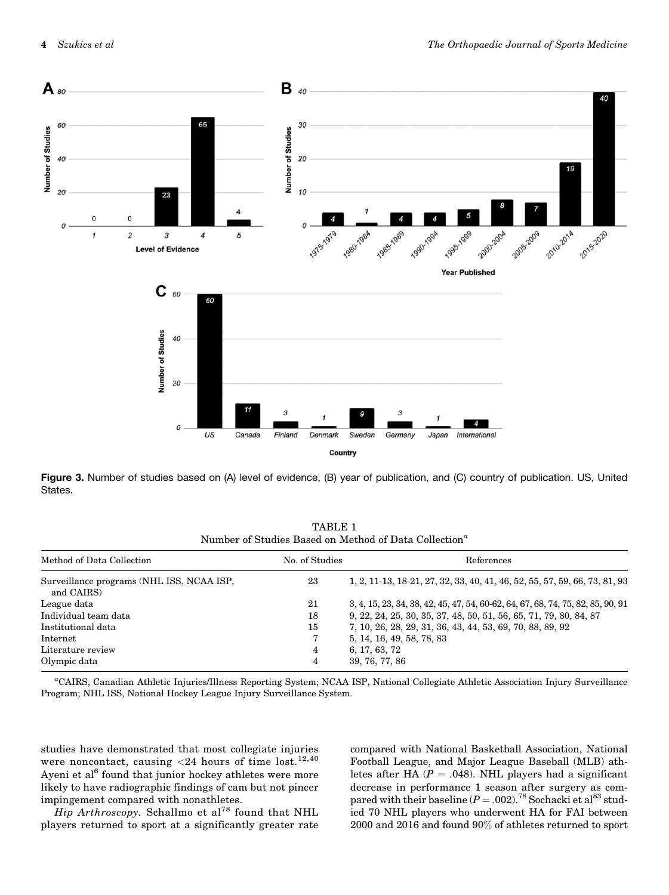<span id="page-5-0"></span>

Figure 3. Number of studies based on (A) level of evidence, (B) year of publication, and (C) country of publication. US, United States.

TABLE 1 Number of Studies Based on Method of Data Collection<sup>a</sup>

| Method of Data Collection                               | No. of Studies | References                                                                      |
|---------------------------------------------------------|----------------|---------------------------------------------------------------------------------|
| Surveillance programs (NHL ISS, NCAA ISP,<br>and CAIRS) | 23             | 1, 2, 11-13, 18-21, 27, 32, 33, 40, 41, 46, 52, 55, 57, 59, 66, 73, 81, 93      |
| League data                                             | 21             | 3, 4, 15, 23, 34, 38, 42, 45, 47, 54, 60-62, 64, 67, 68, 74, 75, 82, 85, 90, 91 |
| Individual team data                                    | 18             | 9, 22, 24, 25, 30, 35, 37, 48, 50, 51, 56, 65, 71, 79, 80, 84, 87               |
| Institutional data                                      | 15             | 7, 10, 26, 28, 29, 31, 36, 43, 44, 53, 69, 70, 88, 89, 92                       |
| Internet                                                |                | 5, 14, 16, 49, 58, 78, 83                                                       |
| Literature review                                       | 4              | 6, 17, 63, 72                                                                   |
| Olympic data                                            | 4              | 39, 76, 77, 86                                                                  |

a CAIRS, Canadian Athletic Injuries/Illness Reporting System; NCAA ISP, National Collegiate Athletic Association Injury Surveillance Program; NHL ISS, National Hockey League Injury Surveillance System.

studies have demonstrated that most collegiate injuries were noncontact, causing  $<$  24 hours of time lost.<sup>[12,40](#page-11-0)</sup> Ayeni et al<sup>[6](#page-11-0)</sup> found that junior hockey athletes were more likely to have radiographic findings of cam but not pincer impingement compared with nonathletes.

Hip Arthroscopy. Schallmo et al<sup>[78](#page-12-0)</sup> found that NHL players returned to sport at a significantly greater rate

compared with National Basketball Association, National Football League, and Major League Baseball (MLB) athletes after HA ( $P = .048$ ). NHL players had a significant decrease in performance 1 season after surgery as compared with their baseline  $(P = .002)$ .<sup>[78](#page-12-0)</sup> Sochacki et al<sup>[83](#page-12-0)</sup> studied 70 NHL players who underwent HA for FAI between 2000 and 2016 and found 90% of athletes returned to sport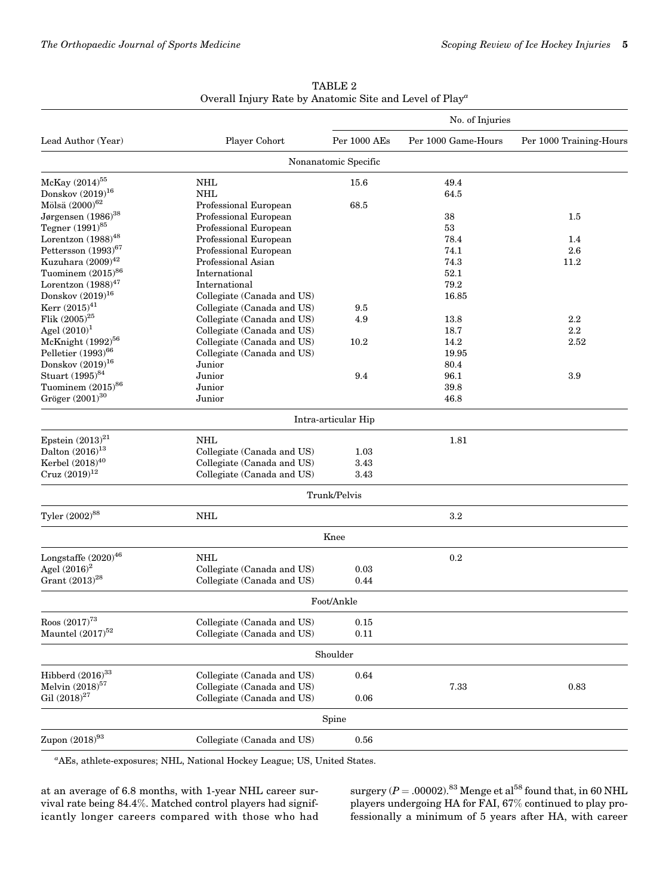<span id="page-6-0"></span>

|                                  |                            | No. of Injuries      |                     |                         |  |
|----------------------------------|----------------------------|----------------------|---------------------|-------------------------|--|
| Lead Author (Year)               | Player Cohort              | Per 1000 AEs         | Per 1000 Game-Hours | Per 1000 Training-Hours |  |
|                                  |                            | Nonanatomic Specific |                     |                         |  |
| McKay (2014) <sup>55</sup>       | <b>NHL</b>                 | 15.6                 | 49.4                |                         |  |
| Donskov $(2019)^{16}$            | <b>NHL</b>                 |                      | 64.5                |                         |  |
| Mölsä (2000) <sup>62</sup>       | Professional European      | 68.5                 |                     |                         |  |
| Jørgensen $(1986)^{38}$          | Professional European      |                      | 38                  | 1.5                     |  |
| Tegner (1991) <sup>85</sup>      | Professional European      |                      | 53                  |                         |  |
| Lorentzon $(1988)^{48}$          | Professional European      |                      | 78.4                | 1.4                     |  |
| Pettersson (1993) <sup>67</sup>  | Professional European      |                      | 74.1                | 2.6                     |  |
| Kuzuhara $(2009)^{42}$           | Professional Asian         |                      | 74.3                | 11.2                    |  |
| Tuominem $(2015)^{86}$           | International              |                      | 52.1                |                         |  |
| Lorentzon $(1988)^{47}$          | International              |                      | 79.2                |                         |  |
| Donskov $(2019)^{16}$            | Collegiate (Canada and US) |                      | 16.85               |                         |  |
| Kerr $(2015)^{41}$               | Collegiate (Canada and US) | 9.5                  |                     |                         |  |
| Flik $(2005)^{25}$               | Collegiate (Canada and US) | 4.9                  | 13.8                | 2.2                     |  |
| Agel $(2010)^1$                  | Collegiate (Canada and US) |                      | 18.7                | 2.2                     |  |
| McKnight (1992) <sup>56</sup>    | Collegiate (Canada and US) | 10.2                 | 14.2                | 2.52                    |  |
| Pelletier $(1993)^{66}$          | Collegiate (Canada and US) |                      | 19.95               |                         |  |
| Donskov $(2019)^{16}$            | Junior                     |                      | 80.4                |                         |  |
| Stuart (1995) <sup>84</sup>      | Junior                     | 9.4                  | 96.1                | 3.9                     |  |
| Tuominem $(2015)^{86}$           | Junior                     |                      | 39.8                |                         |  |
| Gröger $\left(2001\right)^{30}$  | Junior                     |                      | 46.8                |                         |  |
|                                  |                            | Intra-articular Hip  |                     |                         |  |
| Epstein $(2013)^{21}$            | <b>NHL</b>                 |                      | 1.81                |                         |  |
| Dalton $(2016)^{13}$             | Collegiate (Canada and US) | 1.03                 |                     |                         |  |
| Kerbel $(2018)^{40}$             | Collegiate (Canada and US) | 3.43                 |                     |                         |  |
| $\mathrm{Cruz}\; (2019)^{12}$    | Collegiate (Canada and US) | 3.43                 |                     |                         |  |
|                                  |                            | Trunk/Pelvis         |                     |                         |  |
| Tyler (2002) <sup>88</sup>       | NHL                        |                      | $3.2\,$             |                         |  |
|                                  |                            | Knee                 |                     |                         |  |
| Longstaffe $\rm (2020)^{46}$     | <b>NHL</b>                 |                      | 0.2                 |                         |  |
| Agel $(2016)^2$                  | Collegiate (Canada and US) | 0.03                 |                     |                         |  |
| Grant $(2013)^{28}$              | Collegiate (Canada and US) | 0.44                 |                     |                         |  |
|                                  |                            | Foot/Ankle           |                     |                         |  |
| Roos $\left( 2017\right) ^{73}$  | Collegiate (Canada and US) | 0.15                 |                     |                         |  |
| Mauntel $(2017)^{52}$            | Collegiate (Canada and US) | 0.11                 |                     |                         |  |
|                                  |                            | Shoulder             |                     |                         |  |
| Hibberd $(2016)^{33}$            | Collegiate (Canada and US) | 0.64                 |                     |                         |  |
| Melvin $(2018)^{57}$             | Collegiate (Canada and US) |                      | 7.33                | 0.83                    |  |
| Gil $\left(2018\right)^{27}$     | Collegiate (Canada and US) | 0.06                 |                     |                         |  |
|                                  |                            | Spine                |                     |                         |  |
| Zupon $\left( 2018\right) ^{93}$ | Collegiate (Canada and US) | 0.56                 |                     |                         |  |
|                                  |                            |                      |                     |                         |  |

TABLE 2 Overall Injury Rate by Anatomic Site and Level of Play<sup>a</sup>

a AEs, athlete-exposures; NHL, National Hockey League; US, United States.

at an average of 6.8 months, with 1-year NHL career survival rate being 84.4%. Matched control players had significantly longer careers compared with those who had surgery  $(P = .00002)$ .<sup>[83](#page-12-0)</sup> Menge et al<sup>[58](#page-12-0)</sup> found that, in 60 NHL players undergoing HA for FAI, 67% continued to play professionally a minimum of 5 years after HA, with career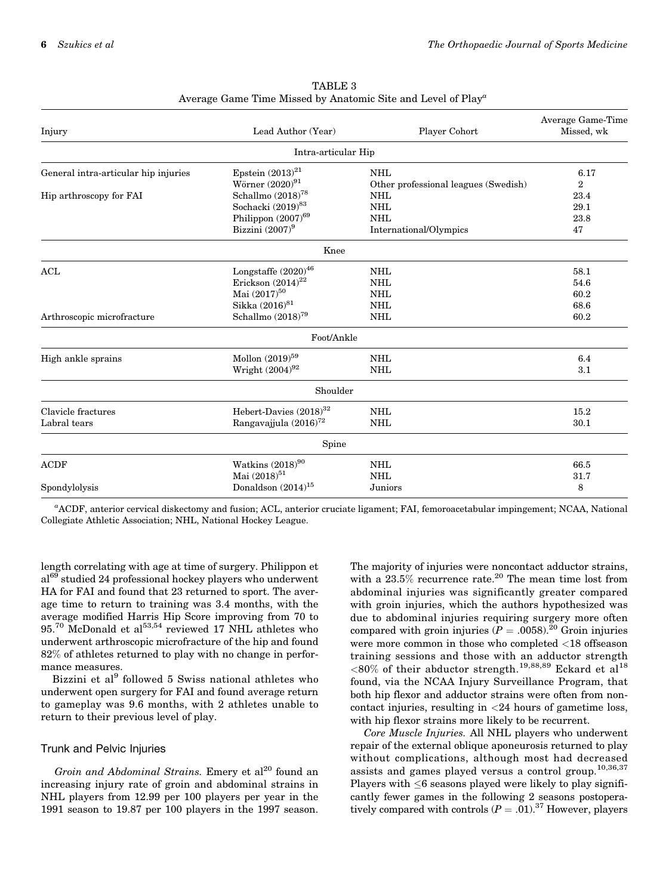| Injury                               | Lead Author (Year)                                                                                                                                    | Player Cohort                                                      | Average Game-Time<br>Missed, wk      |
|--------------------------------------|-------------------------------------------------------------------------------------------------------------------------------------------------------|--------------------------------------------------------------------|--------------------------------------|
|                                      | Intra-articular Hip                                                                                                                                   |                                                                    |                                      |
| General intra-articular hip injuries | Epstein $(2013)^{21}$<br><b>NHL</b><br>Wörner $(2020)^{91}$<br>Other professional leagues (Swedish)                                                   |                                                                    | 6.17<br>$\overline{2}$               |
| Hip arthroscopy for FAI              | Schallmo $(2018)^{78}$<br>Sochacki (2019) <sup>83</sup><br>Philippon (2007) <sup>69</sup><br>Bizzini $(2007)^9$                                       | <b>NHL</b><br><b>NHL</b><br><b>NHL</b><br>International/Olympics   | 23.4<br>29.1<br>23.8<br>47           |
|                                      | Knee                                                                                                                                                  |                                                                    |                                      |
| ACL<br>Arthroscopic microfracture    | Longstaffe $(2020)^{46}$<br>Erickson $\left(2014\right)^{22}$<br>Mai $\left(2017\right)^{50}$<br>Sikka (2016) <sup>81</sup><br>Schallmo $(2018)^{79}$ | <b>NHL</b><br><b>NHL</b><br><b>NHL</b><br><b>NHL</b><br><b>NHL</b> | 58.1<br>54.6<br>60.2<br>68.6<br>60.2 |
|                                      | Foot/Ankle                                                                                                                                            |                                                                    |                                      |
| High ankle sprains                   | Mollon $(2019)^{59}$<br>Wright $(2004)^{92}$                                                                                                          | <b>NHL</b><br><b>NHL</b>                                           | 6.4<br>3.1                           |
|                                      | Shoulder                                                                                                                                              |                                                                    |                                      |
| Clavicle fractures<br>Labral tears   | Hebert-Davies (2018) <sup>32</sup><br>Rangavajjula $(2016)^{72}$                                                                                      | <b>NHL</b><br><b>NHL</b>                                           | 15.2<br>30.1                         |
|                                      | Spine                                                                                                                                                 |                                                                    |                                      |
| <b>ACDF</b><br>Spondylolysis         | Watkins $(2018)^{90}$<br>Mai (2018) <sup>51</sup><br>Donaldson $(2014)^{15}$                                                                          | <b>NHL</b><br><b>NHL</b><br>Juniors                                | 66.5<br>31.7<br>8                    |

TABLE 3 Average Game Time Missed by Anatomic Site and Level of Play<sup>a</sup>

a ACDF, anterior cervical diskectomy and fusion; ACL, anterior cruciate ligament; FAI, femoroacetabular impingement; NCAA, National Collegiate Athletic Association; NHL, National Hockey League.

length correlating with age at time of surgery. Philippon et al<sup>[69](#page-12-0)</sup> studied 24 professional hockey players who underwent HA for FAI and found that 23 returned to sport. The average time to return to training was 3.4 months, with the average modified Harris Hip Score improving from 70 to 95.<sup>[70](#page-12-0)</sup> McDonald et al<sup>[53,54](#page-12-0)</sup> reviewed 17 NHL athletes who underwent arthroscopic microfracture of the hip and found 82% of athletes returned to play with no change in performance measures.

Bizzini et al<sup>[9](#page-11-0)</sup> followed 5 Swiss national athletes who underwent open surgery for FAI and found average return to gameplay was 9.6 months, with 2 athletes unable to return to their previous level of play.

#### Trunk and Pelvic Injuries

Groin and Abdominal Strains. Emery et  $al^{20}$  $al^{20}$  $al^{20}$  found an increasing injury rate of groin and abdominal strains in NHL players from 12.99 per 100 players per year in the 1991 season to 19.87 per 100 players in the 1997 season.

The majority of injuries were noncontact adductor strains, with a 23.5% recurrence rate.<sup>[20](#page-11-0)</sup> The mean time lost from abdominal injuries was significantly greater compared with groin injuries, which the authors hypothesized was due to abdominal injuries requiring surgery more often compared with groin injuries ( $P = .0058$ ).<sup>[20](#page-11-0)</sup> Groin injuries were more common in those who completed <18 offseason training sessions and those with an adductor strength  $<80\%$  of their abductor strength.<sup>[19](#page-11-0),[88](#page-13-0),[89](#page-13-0)</sup> Eckard et al<sup>[18](#page-11-0)</sup> found, via the NCAA Injury Surveillance Program, that both hip flexor and adductor strains were often from noncontact injuries, resulting in  $\langle 24 \rangle$  hours of gametime loss, with hip flexor strains more likely to be recurrent.

Core Muscle Injuries. All NHL players who underwent repair of the external oblique aponeurosis returned to play without complications, although most had decreased assists and games played versus a control group.<sup>[10,36,37](#page-11-0)</sup> Players with  $\leq$ 6 seasons played were likely to play significantly fewer games in the following 2 seasons postoperatively compared with controls  $(P = .01)^{37}$  However, players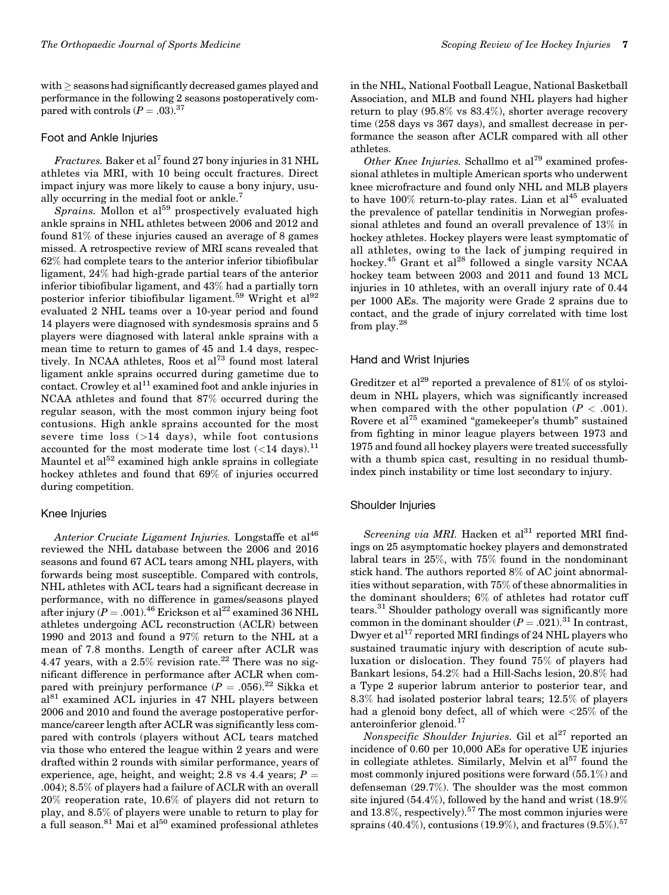$with \ge$  seasons had significantly decreased games played and performance in the following 2 seasons postoperatively compared with controls  $(P=.03).^{37}$ 

#### Foot and Ankle Injuries

Fractures. Baker et al<sup>[7](#page-11-0)</sup> found 27 bony injuries in 31 NHL athletes via MRI, with 10 being occult fractures. Direct impact injury was more likely to cause a bony injury, usu-ally occurring in the medial foot or ankle.<sup>[7](#page-11-0)</sup>

Sprains. Mollon et  $al^{59}$  $al^{59}$  $al^{59}$  prospectively evaluated high ankle sprains in NHL athletes between 2006 and 2012 and found 81% of these injuries caused an average of 8 games missed. A retrospective review of MRI scans revealed that 62% had complete tears to the anterior inferior tibiofibular ligament, 24% had high-grade partial tears of the anterior inferior tibiofibular ligament, and 43% had a partially torn posterior inferior tibiofibular ligament.<sup>[59](#page-12-0)</sup> Wright et al<sup>[92](#page-13-0)</sup> evaluated 2 NHL teams over a 10-year period and found 14 players were diagnosed with syndesmosis sprains and 5 players were diagnosed with lateral ankle sprains with a mean time to return to games of 45 and 1.4 days, respec-tively. In NCAA athletes, Roos et al<sup>[73](#page-12-0)</sup> found most lateral ligament ankle sprains occurred during gametime due to contact. Crowley et al<sup>[11](#page-11-0)</sup> examined foot and ankle injuries in NCAA athletes and found that 87% occurred during the regular season, with the most common injury being foot contusions. High ankle sprains accounted for the most severe time loss (>14 days), while foot contusions accounted for the most moderate time lost  $(<\!14$  days).  $^{11}$  $^{11}$  $^{11}$ Mauntel et  $al^{52}$  $al^{52}$  $al^{52}$  examined high ankle sprains in collegiate hockey athletes and found that 69% of injuries occurred during competition.

#### Knee Injuries

Anterior Cruciate Ligament Injuries. Longstaffe et al<sup>46</sup> reviewed the NHL database between the 2006 and 2016 seasons and found 67 ACL tears among NHL players, with forwards being most susceptible. Compared with controls, NHL athletes with ACL tears had a significant decrease in performance, with no difference in games/seasons played after injury ( $P = .001$ ).<sup>[46](#page-12-0)</sup> Erickson et al<sup>[22](#page-11-0)</sup> examined 36 NHL athletes undergoing ACL reconstruction (ACLR) between 1990 and 2013 and found a 97% return to the NHL at a mean of 7.8 months. Length of career after ACLR was 4.47 years, with a  $2.5\%$  revision rate.<sup>22</sup> There was no significant difference in performance after ACLR when compared with preinjury performance ( $P = .056$ ).<sup>[22](#page-11-0)</sup> Sikka et al<sup>[81](#page-12-0)</sup> examined ACL injuries in 47 NHL players between 2006 and 2010 and found the average postoperative performance/career length after ACLR was significantly less compared with controls (players without ACL tears matched via those who entered the league within 2 years and were drafted within 2 rounds with similar performance, years of experience, age, height, and weight; 2.8 vs 4.4 years;  $P =$ .004); 8.5% of players had a failure of ACLR with an overall 20% reoperation rate, 10.6% of players did not return to play, and 8.5% of players were unable to return to play for a full season.<sup>[81](#page-12-0)</sup> Mai et al<sup>[50](#page-12-0)</sup> examined professional athletes

in the NHL, National Football League, National Basketball Association, and MLB and found NHL players had higher return to play (95.8% vs 83.4%), shorter average recovery time (258 days vs 367 days), and smallest decrease in performance the season after ACLR compared with all other athletes.

Other Knee Injuries. Schallmo et al<sup>[79](#page-12-0)</sup> examined professional athletes in multiple American sports who underwent knee microfracture and found only NHL and MLB players to have  $100\%$  return-to-play rates. Lian et al $^{45}$  $^{45}$  $^{45}$  evaluated the prevalence of patellar tendinitis in Norwegian professional athletes and found an overall prevalence of 13% in hockey athletes. Hockey players were least symptomatic of all athletes, owing to the lack of jumping required in hockey.<sup>[45](#page-12-0)</sup> Grant et al<sup>[28](#page-11-0)</sup> followed a single varsity NCAA hockey team between 2003 and 2011 and found 13 MCL injuries in 10 athletes, with an overall injury rate of 0.44 per 1000 AEs. The majority were Grade 2 sprains due to contact, and the grade of injury correlated with time lost from play.[28](#page-11-0)

#### Hand and Wrist Injuries

Greditzer et al<sup>[29](#page-11-0)</sup> reported a prevalence of 81% of os styloideum in NHL players, which was significantly increased when compared with the other population  $(P < .001)$ . Rovere et al<sup>[75](#page-12-0)</sup> examined "gamekeeper's thumb" sustained from fighting in minor league players between 1973 and 1975 and found all hockey players were treated successfully with a thumb spica cast, resulting in no residual thumbindex pinch instability or time lost secondary to injury.

#### Shoulder Injuries

Screening via MRI. Hacken et  $al^{31}$  $al^{31}$  $al^{31}$  reported MRI findings on 25 asymptomatic hockey players and demonstrated labral tears in 25%, with 75% found in the nondominant stick hand. The authors reported 8% of AC joint abnormalities without separation, with 75% of these abnormalities in the dominant shoulders; 6% of athletes had rotator cuff tears.<sup>[31](#page-11-0)</sup> Shoulder pathology overall was significantly more common in the dominant shoulder  $(P = .021).^{31}$  $(P = .021).^{31}$  $(P = .021).^{31}$  In contrast, Dwyer et  $al^{17}$  $al^{17}$  $al^{17}$  reported MRI findings of 24 NHL players who sustained traumatic injury with description of acute subluxation or dislocation. They found 75% of players had Bankart lesions, 54.2% had a Hill-Sachs lesion, 20.8% had a Type 2 superior labrum anterior to posterior tear, and 8.3% had isolated posterior labral tears; 12.5% of players had a glenoid bony defect, all of which were <25% of the anteroinferior glenoid.<sup>[17](#page-11-0)</sup>

Nonspecific Shoulder Injuries. Gil et al<sup>[27](#page-11-0)</sup> reported an incidence of 0.60 per 10,000 AEs for operative UE injuries in collegiate athletes. Similarly, Melvin et  $a^{57}$  $a^{57}$  $a^{57}$  found the most commonly injured positions were forward (55.1%) and defenseman (29.7%). The shoulder was the most common site injured (54.4%), followed by the hand and wrist (18.9% and  $13.8\%$ , respectively).<sup>[57](#page-12-0)</sup> The most common injuries were sprains (40.4%), contusions (19.9%), and fractures (9.5%).<sup>[57](#page-12-0)</sup>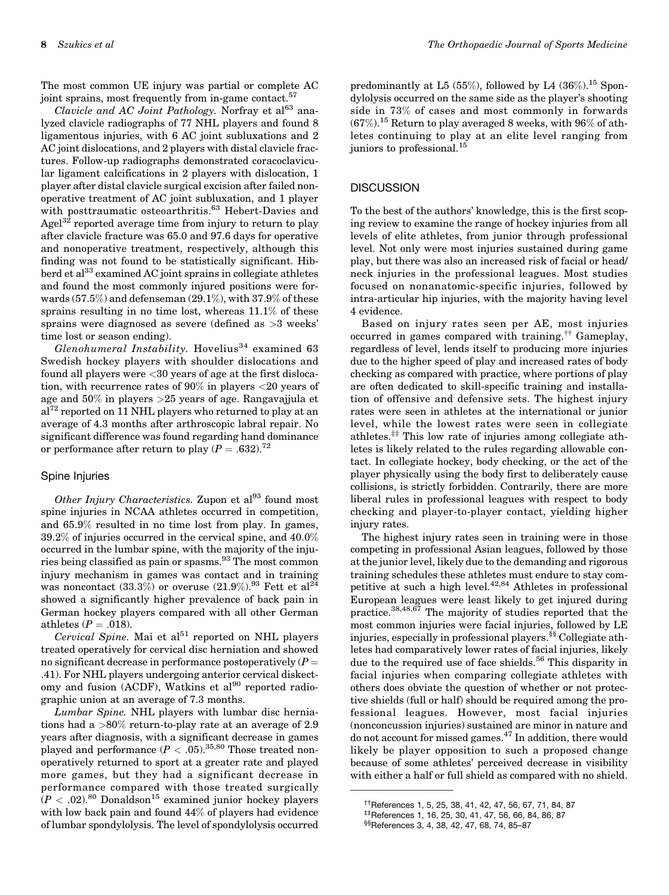The most common UE injury was partial or complete AC joint sprains, most frequently from in-game contact.<sup>[57](#page-12-0)</sup>

Clavicle and AC Joint Pathology. Norfray et  $a^{63}$  $a^{63}$  $a^{63}$  analyzed clavicle radiographs of 77 NHL players and found 8 ligamentous injuries, with 6 AC joint subluxations and 2 AC joint dislocations, and 2 players with distal clavicle fractures. Follow-up radiographs demonstrated coracoclavicular ligament calcifications in 2 players with dislocation, 1 player after distal clavicle surgical excision after failed nonoperative treatment of AC joint subluxation, and 1 player with posttraumatic osteoarthritis.<sup>[63](#page-12-0)</sup> Hebert-Davies and Agel $^{32}$  reported average time from injury to return to play after clavicle fracture was 65.0 and 97.6 days for operative and nonoperative treatment, respectively, although this finding was not found to be statistically significant. Hib-berd et al<sup>[33](#page-11-0)</sup> examined AC joint sprains in collegiate athletes and found the most commonly injured positions were forwards (57.5%) and defenseman (29.1%), with 37.9% of these sprains resulting in no time lost, whereas 11.1% of these sprains were diagnosed as severe (defined as >3 weeks' time lost or season ending).

Glenohumeral Instability. Hovelius<sup>[34](#page-11-0)</sup> examined 63 Swedish hockey players with shoulder dislocations and found all players were <30 years of age at the first dislocation, with recurrence rates of 90% in players <20 years of age and 50% in players >25 years of age. Rangavajjula et  $al^{72}$  $al^{72}$  $al^{72}$  reported on 11 NHL players who returned to play at an average of 4.3 months after arthroscopic labral repair. No significant difference was found regarding hand dominance or performance after return to play  $(P=.632).^{72}$  $(P=.632).^{72}$  $(P=.632).^{72}$ 

#### Spine Injuries

Other Injury Characteristics. Zupon et  $al^{93}$  $al^{93}$  $al^{93}$  found most spine injuries in NCAA athletes occurred in competition, and 65.9% resulted in no time lost from play. In games, 39.2% of injuries occurred in the cervical spine, and 40.0% occurred in the lumbar spine, with the majority of the injuries being classified as pain or spasms.[93](#page-13-0) The most common injury mechanism in games was contact and in training was noncontact  $(33.3\%)$  or overuse  $(21.9\%)$ .<sup>[93](#page-13-0)</sup> Fett et al<sup>[24](#page-11-0)</sup> showed a significantly higher prevalence of back pain in German hockey players compared with all other German athletes  $(P = .018)$ .

 $Cervical$  Spine. Mai et al $^{51}$  $^{51}$  $^{51}$  reported on NHL players treated operatively for cervical disc herniation and showed no significant decrease in performance postoperatively  $(P =$ .41). For NHL players undergoing anterior cervical diskect-omy and fusion (ACDF), Watkins et al<sup>[90](#page-13-0)</sup> reported radiographic union at an average of 7.3 months.

Lumbar Spine. NHL players with lumbar disc herniations had a >80% return-to-play rate at an average of 2.9 years after diagnosis, with a significant decrease in games played and performance  $(P < .05)^{35,80}$  $(P < .05)^{35,80}$  $(P < .05)^{35,80}$  $(P < .05)^{35,80}$  Those treated nonoperatively returned to sport at a greater rate and played more games, but they had a significant decrease in performance compared with those treated surgically  $(P < .02).$ <sup>[80](#page-12-0)</sup> Donaldson<sup>15</sup> examined junior hockey players with low back pain and found 44% of players had evidence of lumbar spondylolysis. The level of spondylolysis occurred

predominantly at L5 (55%), followed by L4 (36%).<sup>[15](#page-11-0)</sup> Spondylolysis occurred on the same side as the player's shooting side in 73% of cases and most commonly in forwards  $(67\%)$ .<sup>15</sup> Return to play averaged 8 weeks, with 96% of athletes continuing to play at an elite level ranging from juniors to professional.<sup>[15](#page-11-0)</sup>

#### **DISCUSSION**

To the best of the authors' knowledge, this is the first scoping review to examine the range of hockey injuries from all levels of elite athletes, from junior through professional level. Not only were most injuries sustained during game play, but there was also an increased risk of facial or head/ neck injuries in the professional leagues. Most studies focused on nonanatomic-specific injuries, followed by intra-articular hip injuries, with the majority having level 4 evidence.

Based on injury rates seen per AE, most injuries occurred in games compared with training.†† Gameplay, regardless of level, lends itself to producing more injuries due to the higher speed of play and increased rates of body checking as compared with practice, where portions of play are often dedicated to skill-specific training and installation of offensive and defensive sets. The highest injury rates were seen in athletes at the international or junior level, while the lowest rates were seen in collegiate athletes.‡‡ This low rate of injuries among collegiate athletes is likely related to the rules regarding allowable contact. In collegiate hockey, body checking, or the act of the player physically using the body first to deliberately cause collisions, is strictly forbidden. Contrarily, there are more liberal rules in professional leagues with respect to body checking and player-to-player contact, yielding higher injury rates.

The highest injury rates seen in training were in those competing in professional Asian leagues, followed by those at the junior level, likely due to the demanding and rigorous training schedules these athletes must endure to stay competitive at such a high level. $42,84$  $42,84$  Athletes in professional European leagues were least likely to get injured during practice.<sup>[38,](#page-11-0)[48](#page-12-0),[67](#page-12-0)</sup> The majority of studies reported that the most common injuries were facial injuries, followed by LE injuries, especially in professional players.§§ Collegiate athletes had comparatively lower rates of facial injuries, likely due to the required use of face shields.<sup>[56](#page-12-0)</sup> This disparity in facial injuries when comparing collegiate athletes with others does obviate the question of whether or not protective shields (full or half) should be required among the professional leagues. However, most facial injuries (nonconcussion injuries) sustained are minor in nature and do not account for missed games. $47$  In addition, there would likely be player opposition to such a proposed change because of some athletes' perceived decrease in visibility with either a half or full shield as compared with no shield.

<sup>&</sup>lt;sup>††</sup>References [1, 5](#page-11-0), [25, 38, 41](#page-11-0), [42, 47](#page-12-0), [56, 67, 71](#page-12-0), [84, 87](#page-13-0)<br><sup>‡‡</sup>References [1, 16](#page-11-0), [25](#page-11-0), [30, 41](#page-11-0), [47, 56](#page-12-0), [66](#page-12-0), [84, 86](#page-13-0), [87](#page-13-0)

<sup>§§</sup>References [3, 4](#page-11-0), [38,](#page-11-0) [42, 47](#page-12-0), [68, 74](#page-12-0), [85–87](#page-13-0)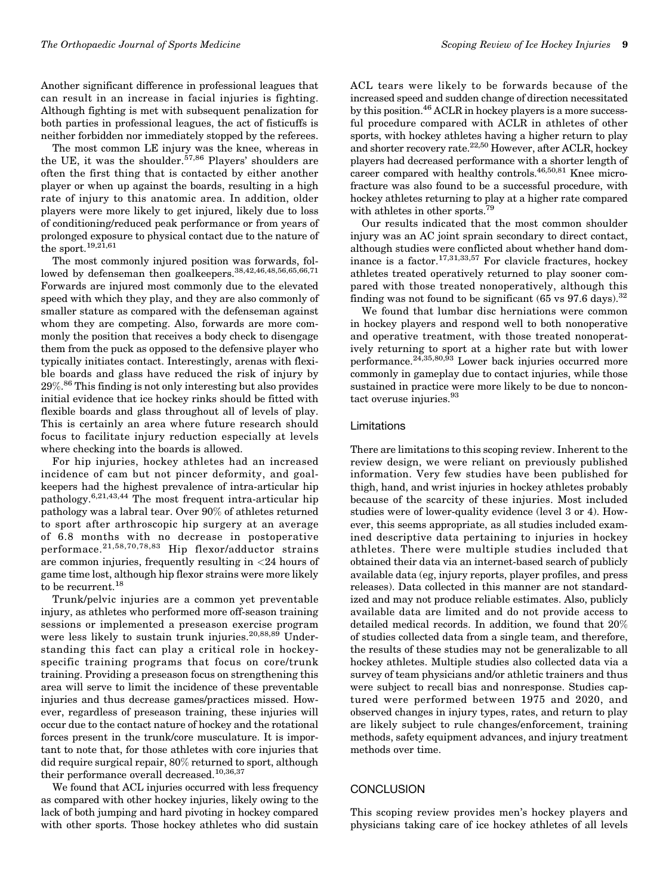Another significant difference in professional leagues that can result in an increase in facial injuries is fighting. Although fighting is met with subsequent penalization for both parties in professional leagues, the act of fisticuffs is neither forbidden nor immediately stopped by the referees.

The most common LE injury was the knee, whereas in the UE, it was the shoulder.<sup>[57,](#page-12-0)[86](#page-13-0)</sup> Players' shoulders are often the first thing that is contacted by either another player or when up against the boards, resulting in a high rate of injury to this anatomic area. In addition, older players were more likely to get injured, likely due to loss of conditioning/reduced peak performance or from years of prolonged exposure to physical contact due to the nature of the sport.  $19,2\overline{1},61$  $19,2\overline{1},61$ 

The most commonly injured position was forwards, fol-lowed by defenseman then goalkeepers.<sup>[38,](#page-11-0)[42,46,48,56,65,66,71](#page-12-0)</sup> Forwards are injured most commonly due to the elevated speed with which they play, and they are also commonly of smaller stature as compared with the defenseman against whom they are competing. Also, forwards are more commonly the position that receives a body check to disengage them from the puck as opposed to the defensive player who typically initiates contact. Interestingly, arenas with flexible boards and glass have reduced the risk of injury by 29%. [86](#page-13-0) This finding is not only interesting but also provides initial evidence that ice hockey rinks should be fitted with flexible boards and glass throughout all of levels of play. This is certainly an area where future research should focus to facilitate injury reduction especially at levels where checking into the boards is allowed.

For hip injuries, hockey athletes had an increased incidence of cam but not pincer deformity, and goalkeepers had the highest prevalence of intra-articular hip pathology.[6,21](#page-11-0)[,43,44](#page-12-0) The most frequent intra-articular hip pathology was a labral tear. Over 90% of athletes returned to sport after arthroscopic hip surgery at an average of 6.8 months with no decrease in postoperative performace.[21](#page-11-0),[58,](#page-12-0)70,[78](#page-12-0),[83](#page-12-0) Hip flexor/adductor strains are common injuries, frequently resulting in <24 hours of game time lost, although hip flexor strains were more likely to be recurrent.<sup>[18](#page-11-0)</sup>

Trunk/pelvic injuries are a common yet preventable injury, as athletes who performed more off-season training sessions or implemented a preseason exercise program were less likely to sustain trunk injuries.<sup>[20](#page-11-0)[,88](#page-13-0),[89](#page-13-0)</sup> Understanding this fact can play a critical role in hockeyspecific training programs that focus on core/trunk training. Providing a preseason focus on strengthening this area will serve to limit the incidence of these preventable injuries and thus decrease games/practices missed. However, regardless of preseason training, these injuries will occur due to the contact nature of hockey and the rotational forces present in the trunk/core musculature. It is important to note that, for those athletes with core injuries that did require surgical repair, 80% returned to sport, although their performance overall decreased.<sup>[10,36,37](#page-11-0)</sup>

We found that ACL injuries occurred with less frequency as compared with other hockey injuries, likely owing to the lack of both jumping and hard pivoting in hockey compared with other sports. Those hockey athletes who did sustain ACL tears were likely to be forwards because of the increased speed and sudden change of direction necessitated by this position[.46](#page-12-0) ACLR in hockey players is a more successful procedure compared with ACLR in athletes of other sports, with hockey athletes having a higher return to play and shorter recovery rate.<sup>[22](#page-11-0)[,50](#page-12-0)</sup> However, after ACLR, hockey players had decreased performance with a shorter length of career compared with healthy controls.<sup>[46,50,81](#page-12-0)</sup> Knee microfracture was also found to be a successful procedure, with hockey athletes returning to play at a higher rate compared with athletes in other sports.<sup>7</sup>

Our results indicated that the most common shoulder injury was an AC joint sprain secondary to direct contact, although studies were conflicted about whether hand dom-inance is a factor.<sup>[17,31,33](#page-11-0),[57](#page-12-0)</sup> For clavicle fractures, hockey athletes treated operatively returned to play sooner compared with those treated nonoperatively, although this finding was not found to be significant (65 vs 97.6 days).<sup>[32](#page-11-0)</sup>

We found that lumbar disc herniations were common in hockey players and respond well to both nonoperative and operative treatment, with those treated nonoperatively returning to sport at a higher rate but with lower performance.<sup>[24,35](#page-11-0),[80](#page-12-0)[,93](#page-13-0)</sup> Lower back injuries occurred more commonly in gameplay due to contact injuries, while those sustained in practice were more likely to be due to noncon-tact overuse injuries.<sup>[93](#page-13-0)</sup>

#### Limitations

There are limitations to this scoping review. Inherent to the review design, we were reliant on previously published information. Very few studies have been published for thigh, hand, and wrist injuries in hockey athletes probably because of the scarcity of these injuries. Most included studies were of lower-quality evidence (level 3 or 4). However, this seems appropriate, as all studies included examined descriptive data pertaining to injuries in hockey athletes. There were multiple studies included that obtained their data via an internet-based search of publicly available data (eg, injury reports, player profiles, and press releases). Data collected in this manner are not standardized and may not produce reliable estimates. Also, publicly available data are limited and do not provide access to detailed medical records. In addition, we found that 20% of studies collected data from a single team, and therefore, the results of these studies may not be generalizable to all hockey athletes. Multiple studies also collected data via a survey of team physicians and/or athletic trainers and thus were subject to recall bias and nonresponse. Studies captured were performed between 1975 and 2020, and observed changes in injury types, rates, and return to play are likely subject to rule changes/enforcement, training methods, safety equipment advances, and injury treatment methods over time.

#### **CONCLUSION**

This scoping review provides men's hockey players and physicians taking care of ice hockey athletes of all levels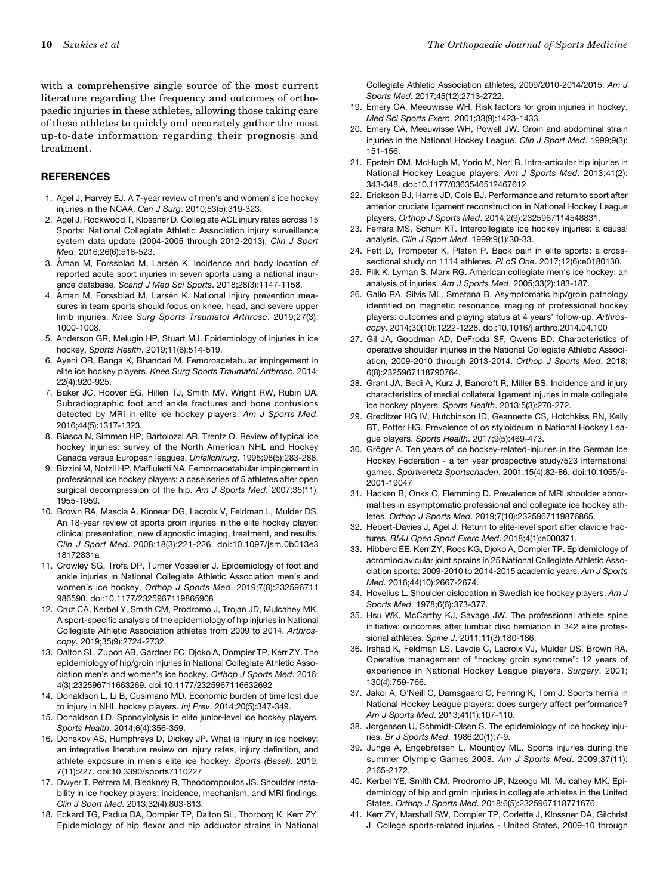<span id="page-11-0"></span>with a comprehensive single source of the most current literature regarding the frequency and outcomes of orthopaedic injuries in these athletes, allowing those taking care of these athletes to quickly and accurately gather the most up-to-date information regarding their prognosis and treatment.

#### **REFERENCES**

- 1. Agel J, Harvey EJ. A 7-year review of men's and women's ice hockey injuries in the NCAA. Can J Surg. 2010;53(5):319-323.
- 2. Agel J, Rockwood T, Klossner D. Collegiate ACL injury rates across 15 Sports: National Collegiate Athletic Association injury surveillance system data update (2004-2005 through 2012-2013). Clin J Sport Med. 2016;26(6):518-523.
- 3. Åman M, Forssblad M, Larsén K. Incidence and body location of reported acute sport injuries in seven sports using a national insurance database. Scand J Med Sci Sports. 2018;28(3):1147-1158.
- 4. Aman M, Forssblad M, Larsén K. National injury prevention measures in team sports should focus on knee, head, and severe upper limb injuries. Knee Surg Sports Traumatol Arthrosc. 2019;27(3): 1000-1008.
- 5. Anderson GR, Melugin HP, Stuart MJ. Epidemiology of injuries in ice hockey. Sports Health. 2019;11(6):514-519.
- 6. Ayeni OR, Banga K, Bhandari M. Femoroacetabular impingement in elite ice hockey players. Knee Surg Sports Traumatol Arthrosc. 2014; 22(4):920-925.
- 7. Baker JC, Hoover EG, Hillen TJ, Smith MV, Wright RW, Rubin DA. Subradiographic foot and ankle fractures and bone contusions detected by MRI in elite ice hockey players. Am J Sports Med. 2016;44(5):1317-1323.
- 8. Biasca N, Simmen HP, Bartolozzi AR, Trentz O. Review of typical ice hockey injuries: survey of the North American NHL and Hockey Canada versus European leagues. Unfallchirurg. 1995;98(5):283-288.
- 9. Bizzini M, Notzli HP, Maffiuletti NA. Femoroacetabular impingement in professional ice hockey players: a case series of 5 athletes after open surgical decompression of the hip. Am J Sports Med. 2007;35(11): 1955-1959.
- 10. Brown RA, Mascia A, Kinnear DG, Lacroix V, Feldman L, Mulder DS. An 18-year review of sports groin injuries in the elite hockey player: clinical presentation, new diagnostic imaging, treatment, and results. Clin J Sport Med. 2008;18(3):221-226. doi:10.1097/jsm.0b013e3 18172831a
- 11. Crowley SG, Trofa DP, Turner Vosseller J. Epidemiology of foot and ankle injuries in National Collegiate Athletic Association men's and women's ice hockey. Orthop J Sports Med. 2019;7(8):232596711 986590. doi:10.1177/2325967119865908
- 12. Cruz CA, Kerbel Y, Smith CM, Prodromo J, Trojan JD, Mulcahey MK. A sport-specific analysis of the epidemiology of hip injuries in National Collegiate Athletic Association athletes from 2009 to 2014. Arthroscopy. 2019;35(9):2724-2732.
- 13. Dalton SL, Zupon AB, Gardner EC, Djoko A, Dompier TP, Kerr ZY. The epidemiology of hip/groin injuries in National Collegiate Athletic Association men's and women's ice hockey. Orthop J Sports Med. 2016; 4(3):232596711663269. doi:10.1177/2325967116632692
- 14. Donaldson L, Li B, Cusimano MD. Economic burden of time lost due to injury in NHL hockey players. Inj Prev. 2014;20(5):347-349.
- 15. Donaldson LD. Spondylolysis in elite junior-level ice hockey players. Sports Health. 2014;6(4):356-359.
- 16. Donskov AS, Humphreys D, Dickey JP. What is injury in ice hockey: an integrative literature review on injury rates, injury definition, and athlete exposure in men's elite ice hockey. Sports (Basel). 2019; 7(11):227. doi:10.3390/sports7110227
- 17. Dwyer T, Petrera M, Bleakney R, Theodoropoulos JS. Shoulder instability in ice hockey players: incidence, mechanism, and MRI findings. Clin J Sport Med. 2013;32(4):803-813.
- 18. Eckard TG, Padua DA, Dompier TP, Dalton SL, Thorborg K, Kerr ZY. Epidemiology of hip flexor and hip adductor strains in National

Collegiate Athletic Association athletes, 2009/2010-2014/2015. Am J Sports Med. 2017;45(12):2713-2722.

- 19. Emery CA, Meeuwisse WH. Risk factors for groin injuries in hockey. Med Sci Sports Exerc. 2001;33(9):1423-1433.
- 20. Emery CA, Meeuwisse WH, Powell JW. Groin and abdominal strain injuries in the National Hockey League. Clin J Sport Med. 1999;9(3): 151-156.
- 21. Epstein DM, McHugh M, Yorio M, Neri B. Intra-articular hip injuries in National Hockey League players. Am J Sports Med. 2013;41(2): 343-348. doi:10.1177/0363546512467612
- 22. Erickson BJ, Harris JD, Cole BJ. Performance and return to sport after anterior cruciate ligament reconstruction in National Hockey League players. Orthop J Sports Med. 2014;2(9):2325967114548831.
- 23. Ferrara MS, Schurr KT. Intercollegiate ice hockey injuries: a causal analysis. Clin J Sport Med. 1999;9(1):30-33.
- 24. Fett D, Trompeter K, Platen P. Back pain in elite sports: a crosssectional study on 1114 athletes. PLoS One. 2017;12(6):e0180130.
- 25. Flik K, Lyman S, Marx RG. American collegiate men's ice hockey: an analysis of injuries. Am J Sports Med. 2005;33(2):183-187.
- 26. Gallo RA, Silvis ML, Smetana B. Asymptomatic hip/groin pathology identified on magnetic resonance imaging of professional hockey players: outcomes and playing status at 4 years' follow-up. Arthroscopy. 2014;30(10):1222-1228. doi:10.1016/j.arthro.2014.04.100
- 27. Gil JA, Goodman AD, DeFroda SF, Owens BD. Characteristics of operative shoulder injuries in the National Collegiate Athletic Association, 2009-2010 through 2013-2014. Orthop J Sports Med. 2018; 6(8):2325967118790764.
- 28. Grant JA, Bedi A, Kurz J, Bancroft R, Miller BS. Incidence and injury characteristics of medial collateral ligament injuries in male collegiate ice hockey players. Sports Health. 2013;5(3):270-272.
- 29. Greditzer HG IV, Hutchinson ID, Geannette CS, Hotchkiss RN, Kelly BT, Potter HG. Prevalence of os styloideum in National Hockey League players. Sports Health. 2017;9(5):469-473.
- 30. Gröger A. Ten years of ice hockey-related-injuries in the German Ice Hockey Federation - a ten year prospective study/523 international games. Sportverletz Sportschaden. 2001;15(4):82-86. doi:10.1055/s-2001-19047
- 31. Hacken B, Onks C, Flemming D. Prevalence of MRI shoulder abnormalities in asymptomatic professional and collegiate ice hockey athletes. Orthop J Sports Med. 2019;7(10):2325967119876865.
- 32. Hebert-Davies J, Agel J. Return to elite-level sport after clavicle fractures. BMJ Open Sport Exerc Med. 2018;4(1):e000371.
- 33. Hibberd EE, Kerr ZY, Roos KG, Djoko A, Dompier TP. Epidemiology of acromioclavicular joint sprains in 25 National Collegiate Athletic Association sports: 2009-2010 to 2014-2015 academic years. Am J Sports Med. 2016;44(10):2667-2674.
- 34. Hovelius L. Shoulder dislocation in Swedish ice hockey players. Am J Sports Med. 1978;6(6):373-377.
- 35. Hsu WK, McCarthy KJ, Savage JW. The professional athlete spine initiative: outcomes after lumbar disc herniation in 342 elite professional athletes. Spine J. 2011;11(3):180-186.
- 36. Irshad K, Feldman LS, Lavoie C, Lacroix VJ, Mulder DS, Brown RA. Operative management of "hockey groin syndrome": 12 years of experience in National Hockey League players. Surgery. 2001; 130(4):759-766.
- 37. Jakoi A, O'Neill C, Damsgaard C, Fehring K, Tom J. Sports hernia in National Hockey League players: does surgery affect performance? Am J Sports Med. 2013;41(1):107-110.
- 38. Jørgensen U, Schmidt-Olsen S. The epidemiology of ice hockey injuries. Br J Sports Med. 1986;20(1):7-9.
- 39. Junge A, Engebretsen L, Mountjoy ML. Sports injuries during the summer Olympic Games 2008. Am J Sports Med. 2009;37(11): 2165-2172.
- 40. Kerbel YE, Smith CM, Prodromo JP, Nzeogu MI, Mulcahey MK. Epidemiology of hip and groin injuries in collegiate athletes in the United States. Orthop J Sports Med. 2018;6(5):2325967118771676.
- 41. Kerr ZY, Marshall SW, Dompier TP, Corlette J, Klossner DA, Gilchrist J. College sports-related injuries - United States, 2009-10 through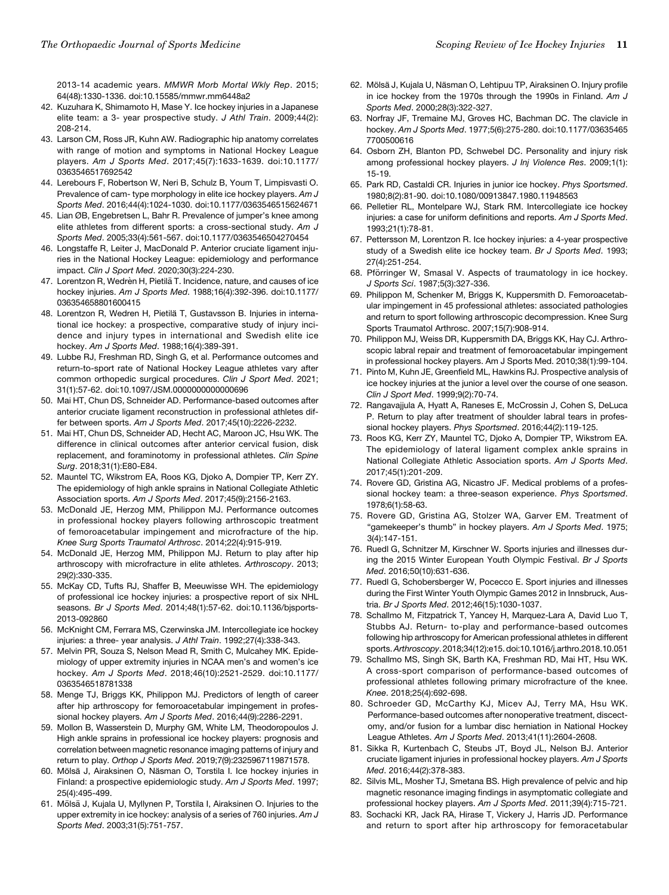<span id="page-12-0"></span>2013-14 academic years. MMWR Morb Mortal Wkly Rep. 2015; 64(48):1330-1336. doi:10.15585/mmwr.mm6448a2

- 42. Kuzuhara K, Shimamoto H, Mase Y. Ice hockey injuries in a Japanese elite team: a 3- year prospective study. J Athl Train. 2009;44(2): 208-214.
- 43. Larson CM, Ross JR, Kuhn AW. Radiographic hip anatomy correlates with range of motion and symptoms in National Hockey League players. Am J Sports Med. 2017;45(7):1633-1639. doi:10.1177/ 0363546517692542
- 44. Lerebours F, Robertson W, Neri B, Schulz B, Youm T, Limpisvasti O. Prevalence of cam- type morphology in elite ice hockey players. Am J Sports Med. 2016;44(4):1024-1030. doi:10.1177/0363546515624671
- 45. Lian ØB, Engebretsen L, Bahr R. Prevalence of jumper's knee among elite athletes from different sports: a cross-sectional study. Am J Sports Med. 2005;33(4):561-567. doi:10.1177/0363546504270454
- 46. Longstaffe R, Leiter J, MacDonald P. Anterior cruciate ligament injuries in the National Hockey League: epidemiology and performance impact. Clin J Sport Med. 2020;30(3):224-230.
- 47. Lorentzon R, Wedrèn H, Pietilä T. Incidence, nature, and causes of ice hockey injuries. Am J Sports Med. 1988;16(4):392-396. doi:10.1177/ 036354658801600415
- 48. Lorentzon R, Wedren H, Pietilä T, Gustavsson B. Injuries in international ice hockey: a prospective, comparative study of injury incidence and injury types in international and Swedish elite ice hockey. Am J Sports Med. 1988;16(4):389-391.
- 49. Lubbe RJ, Freshman RD, Singh G, et al. Performance outcomes and return-to-sport rate of National Hockey League athletes vary after common orthopedic surgical procedures. Clin J Sport Med. 2021; 31(1):57-62. doi:10.1097/JSM.0000000000000696
- 50. Mai HT, Chun DS, Schneider AD. Performance-based outcomes after anterior cruciate ligament reconstruction in professional athletes differ between sports. Am J Sports Med. 2017;45(10):2226-2232.
- 51. Mai HT, Chun DS, Schneider AD, Hecht AC, Maroon JC, Hsu WK. The difference in clinical outcomes after anterior cervical fusion, disk replacement, and foraminotomy in professional athletes. Clin Spine Surg. 2018;31(1):E80-E84.
- 52. Mauntel TC, Wikstrom EA, Roos KG, Djoko A, Dompier TP, Kerr ZY. The epidemiology of high ankle sprains in National Collegiate Athletic Association sports. Am J Sports Med. 2017;45(9):2156-2163.
- 53. McDonald JE, Herzog MM, Philippon MJ. Performance outcomes in professional hockey players following arthroscopic treatment of femoroacetabular impingement and microfracture of the hip. Knee Surg Sports Traumatol Arthrosc. 2014;22(4):915-919.
- 54. McDonald JE, Herzog MM, Philippon MJ. Return to play after hip arthroscopy with microfracture in elite athletes. Arthroscopy. 2013; 29(2):330-335.
- 55. McKay CD, Tufts RJ, Shaffer B, Meeuwisse WH. The epidemiology of professional ice hockey injuries: a prospective report of six NHL seasons. Br J Sports Med. 2014;48(1):57-62. doi:10.1136/bjsports-2013-092860
- 56. McKnight CM, Ferrara MS, Czerwinska JM. Intercollegiate ice hockey injuries: a three- year analysis. J Athl Train. 1992;27(4):338-343.
- 57. Melvin PR, Souza S, Nelson Mead R, Smith C, Mulcahey MK. Epidemiology of upper extremity injuries in NCAA men's and women's ice hockey. Am J Sports Med. 2018;46(10):2521-2529. doi:10.1177/ 0363546518781338
- 58. Menge TJ, Briggs KK, Philippon MJ. Predictors of length of career after hip arthroscopy for femoroacetabular impingement in professional hockey players. Am J Sports Med. 2016;44(9):2286-2291.
- 59. Mollon B, Wasserstein D, Murphy GM, White LM, Theodoropoulos J. High ankle sprains in professional ice hockey players: prognosis and correlation between magnetic resonance imaging patterns of injury and return to play. Orthop J Sports Med. 2019;7(9):2325967119871578.
- 60. Mölsä J, Airaksinen O, Näsman O, Torstila I. Ice hockey injuries in Finland: a prospective epidemiologic study. Am J Sports Med. 1997; 25(4):495-499.
- 61. Mölsä J, Kujala U, Myllynen P, Torstila I, Airaksinen O. Injuries to the upper extremity in ice hockey: analysis of a series of 760 injuries. Am J Sports Med. 2003;31(5):751-757.
- 62. Mölsä J, Kujala U, Näsman O, Lehtipuu TP, Airaksinen O. Injury profile in ice hockey from the 1970s through the 1990s in Finland. Am J Sports Med. 2000;28(3):322-327.
- 63. Norfray JF, Tremaine MJ, Groves HC, Bachman DC. The clavicle in hockey. Am J Sports Med. 1977;5(6):275-280. doi:10.1177/03635465 7700500616
- 64. Osborn ZH, Blanton PD, Schwebel DC. Personality and injury risk among professional hockey players. J Inj Violence Res. 2009;1(1): 15-19.
- 65. Park RD, Castaldi CR. Injuries in junior ice hockey. Phys Sportsmed. 1980;8(2):81-90. doi:10.1080/00913847.1980.11948563
- 66. Pelletier RL, Montelpare WJ, Stark RM. Intercollegiate ice hockey injuries: a case for uniform definitions and reports. Am J Sports Med. 1993;21(1):78-81.
- 67. Pettersson M, Lorentzon R. Ice hockey injuries: a 4-year prospective study of a Swedish elite ice hockey team. Br J Sports Med. 1993; 27(4):251-254.
- 68. Pförringer W, Smasal V. Aspects of traumatology in ice hockey. J Sports Sci. 1987;5(3):327-336.
- 69. Philippon M, Schenker M, Briggs K, Kuppersmith D. Femoroacetabular impingement in 45 professional athletes: associated pathologies and return to sport following arthroscopic decompression. Knee Surg Sports Traumatol Arthrosc. 2007;15(7):908-914.
- 70. Philippon MJ, Weiss DR, Kuppersmith DA, Briggs KK, Hay CJ. Arthroscopic labral repair and treatment of femoroacetabular impingement in professional hockey players. Am J Sports Med. 2010;38(1):99-104.
- 71. Pinto M, Kuhn JE, Greenfield ML, Hawkins RJ. Prospective analysis of ice hockey injuries at the junior a level over the course of one season. Clin J Sport Med. 1999;9(2):70-74.
- 72. Rangavajjula A, Hyatt A, Raneses E, McCrossin J, Cohen S, DeLuca P. Return to play after treatment of shoulder labral tears in professional hockey players. Phys Sportsmed. 2016;44(2):119-125.
- 73. Roos KG, Kerr ZY, Mauntel TC, Djoko A, Dompier TP, Wikstrom EA. The epidemiology of lateral ligament complex ankle sprains in National Collegiate Athletic Association sports. Am J Sports Med. 2017;45(1):201-209.
- 74. Rovere GD, Gristina AG, Nicastro JF. Medical problems of a professional hockey team: a three-season experience. Phys Sportsmed. 1978;6(1):58-63.
- 75. Rovere GD, Gristina AG, Stolzer WA, Garver EM. Treatment of "gamekeeper's thumb" in hockey players. Am J Sports Med. 1975; 3(4):147-151.
- 76. Ruedl G, Schnitzer M, Kirschner W. Sports injuries and illnesses during the 2015 Winter European Youth Olympic Festival. Br J Sports Med. 2016;50(10):631-636.
- 77. Ruedl G, Schobersberger W, Pocecco E. Sport injuries and illnesses during the First Winter Youth Olympic Games 2012 in Innsbruck, Austria. Br J Sports Med. 2012;46(15):1030-1037.
- 78. Schallmo M, Fitzpatrick T, Yancey H, Marquez-Lara A, David Luo T, Stubbs AJ. Return- to-play and performance-based outcomes following hip arthroscopy for American professional athletes in different sports.Arthroscopy.2018;34(12):e15.doi:10.1016/j.arthro.2018.10.051
- 79. Schallmo MS, Singh SK, Barth KA, Freshman RD, Mai HT, Hsu WK. A cross-sport comparison of performance-based outcomes of professional athletes following primary microfracture of the knee. Knee. 2018;25(4):692-698.
- 80. Schroeder GD, McCarthy KJ, Micev AJ, Terry MA, Hsu WK. Performance-based outcomes after nonoperative treatment, discectomy, and/or fusion for a lumbar disc herniation in National Hockey League Athletes. Am J Sports Med. 2013;41(11):2604-2608.
- 81. Sikka R, Kurtenbach C, Steubs JT, Boyd JL, Nelson BJ. Anterior cruciate ligament injuries in professional hockey players. Am J Sports Med. 2016;44(2):378-383.
- 82. Silvis ML, Mosher TJ, Smetana BS. High prevalence of pelvic and hip magnetic resonance imaging findings in asymptomatic collegiate and professional hockey players. Am J Sports Med. 2011;39(4):715-721.
- 83. Sochacki KR, Jack RA, Hirase T, Vickery J, Harris JD. Performance and return to sport after hip arthroscopy for femoracetabular